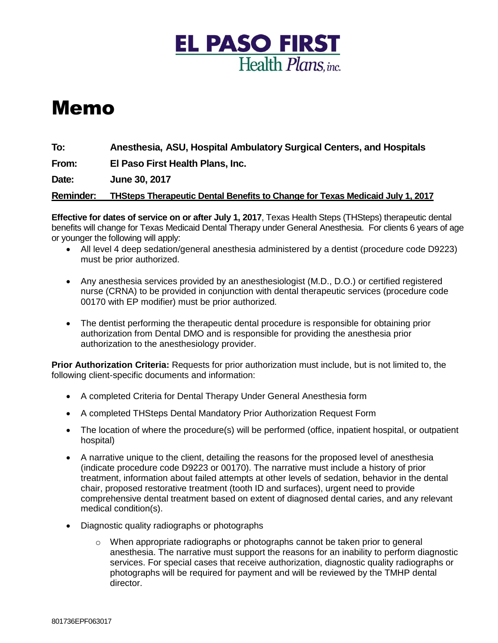

## Memo

**To: Anesthesia, ASU, Hospital Ambulatory Surgical Centers, and Hospitals**

**From: El Paso First Health Plans, Inc.**

**Date: June 30, 2017**

**Reminder: THSteps Therapeutic Dental Benefits to Change for Texas Medicaid July 1, 2017**

**Effective for dates of service on or after July 1, 2017**, Texas Health Steps (THSteps) therapeutic dental benefits will change for Texas Medicaid Dental Therapy under General Anesthesia. For clients 6 years of age or younger the following will apply:

- All level 4 deep sedation/general anesthesia administered by a dentist (procedure code D9223) must be prior authorized.
- Any anesthesia services provided by an anesthesiologist (M.D., D.O.) or certified registered nurse (CRNA) to be provided in conjunction with dental therapeutic services (procedure code 00170 with EP modifier) must be prior authorized*.*
- The dentist performing the therapeutic dental procedure is responsible for obtaining prior authorization from Dental DMO and is responsible for providing the anesthesia prior authorization to the anesthesiology provider.

**Prior Authorization Criteria:** Requests for prior authorization must include, but is not limited to, the following client-specific documents and information:

- A completed Criteria for Dental Therapy Under General Anesthesia form
- A completed THSteps Dental Mandatory Prior Authorization Request Form
- The location of where the procedure(s) will be performed (office, inpatient hospital, or outpatient hospital)
- A narrative unique to the client, detailing the reasons for the proposed level of anesthesia (indicate procedure code D9223 or 00170). The narrative must include a history of prior treatment, information about failed attempts at other levels of sedation, behavior in the dental chair, proposed restorative treatment (tooth ID and surfaces), urgent need to provide comprehensive dental treatment based on extent of diagnosed dental caries, and any relevant medical condition(s).
- Diagnostic quality radiographs or photographs
	- $\circ$  When appropriate radiographs or photographs cannot be taken prior to general anesthesia. The narrative must support the reasons for an inability to perform diagnostic services. For special cases that receive authorization, diagnostic quality radiographs or photographs will be required for payment and will be reviewed by the TMHP dental director.